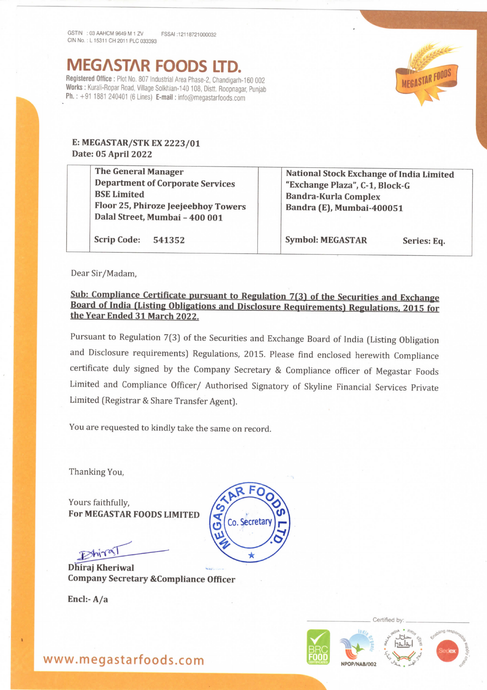MEG^ST^R FOODS ITD.

Registered Office : Plot No. 807 Industrial Area Phase-2, Chandigarh-160 002 Works : Kurali-Ropar Road, Village Solkhian-140 108, Distt. Roopnagar, Punjab Ph.: +91 1881 240401 (6 Lines) E-mail: info@megastarfoods.com



## E: MEGASTAR/STK EX 2223/01 Date: 05 April 2022

Scrip Code: 541352

The General Manager Department of Corporate Services BSE Limited Floor 25, Phiroze Jeejeebhoy Towers Dalal Street, Mumbai - 400 001

Symbol: MEGASTAR Series: Eq.

Bandra-Kur]a Complex Bandra (E), Mumbai-400051

National Stock Exchange of India Limited

"Exchange plaza", C-1, Block-G

Dear Sir/Madam,

## Sub: Compliance Certificate pursuant to Regulation 7(3) of the Securities and Exchange Board of India (Listing Obligations and Disclosure Requirements) Regulations, 2015 for the Year Ended 31 March 2022.

Pursuant to Regulation 7(3) of the Securities and Exchange Board of India (Listing Obligation and Disclosure requirements) Regulations, 2015. Please find enclosed herewith Compliance certificate duly signed by the Company Secretary & Compliance officer of Megastar Foods Limited and Compliance Officer/ Authorised Signatory of Skyline Financial Services Private Limited (Registrar & Share Transfer Agent).

You are requested to kindly take the same on record.

Thanking You,

Yours faithfully, For MEGASTAR FOODS LIMITED

 $D$ hira

Dhiraj Kheriwal Company Secretary &Compliance Officer

Encl:-A/a